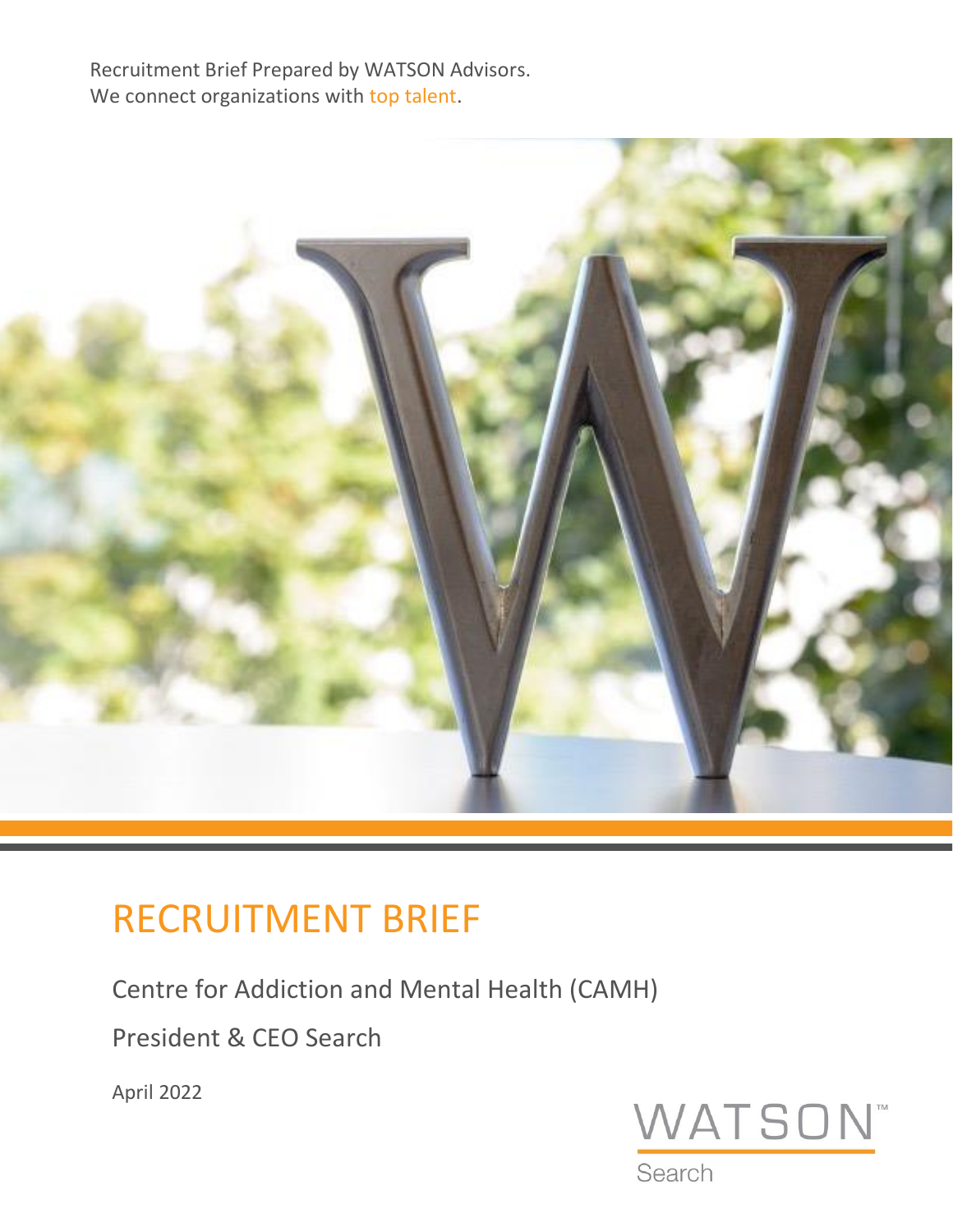Recruitment Brief Prepared by WATSON Advisors. We connect organizations with top talent.



# RECRUITMENT BRIEF

Centre for Addiction and Mental Health (CAMH)

President & CEO Search

April 2022



Search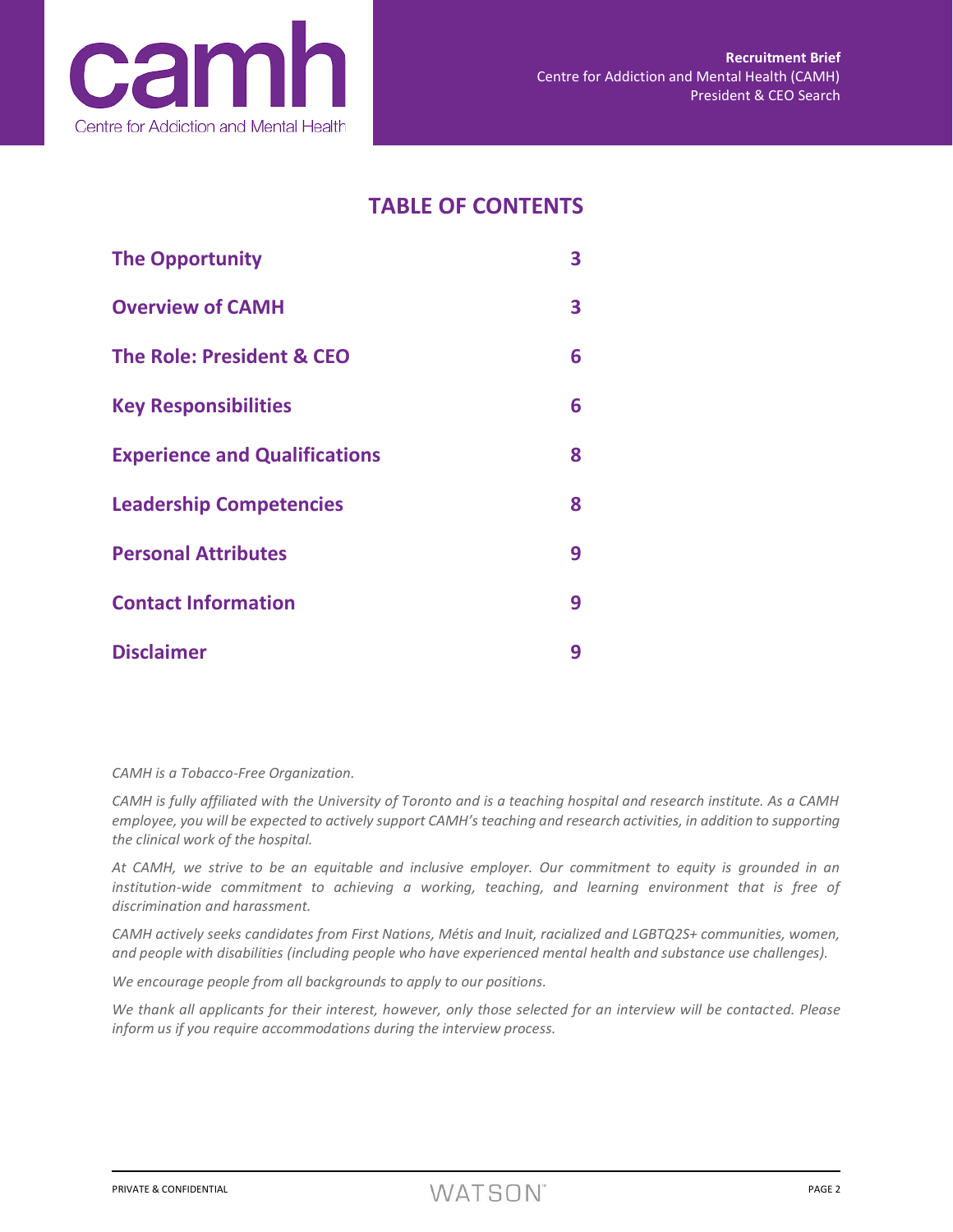

## **TABLE OF CONTENTS**

| <b>The Opportunity</b>               | 3 |
|--------------------------------------|---|
| <b>Overview of CAMH</b>              | 3 |
| <b>The Role: President &amp; CEO</b> | 6 |
| <b>Key Responsibilities</b>          | 6 |
| <b>Experience and Qualifications</b> | 8 |
| <b>Leadership Competencies</b>       | 8 |
| <b>Personal Attributes</b>           | 9 |
| <b>Contact Information</b>           | 9 |
| <b>Disclaimer</b>                    | 9 |

*CAMH is a Tobacco-Free Organization.*

*CAMH is fully affiliated with the University of Toronto and is a teaching hospital and research institute. As a CAMH employee, you will be expected to actively support CAMH's teaching and research activities, in addition to supporting the clinical work of the hospital.*

*At CAMH, we strive to be an equitable and inclusive employer. Our commitment to equity is grounded in an institution-wide commitment to achieving a working, teaching, and learning environment that is free of discrimination and harassment.*

*CAMH actively seeks candidates from First Nations, Métis and Inuit, racialized and LGBTQ2S+ communities, women, and people with disabilities (including people who have experienced mental health and substance use challenges).*

*We encourage people from all backgrounds to apply to our positions.*

*We thank all applicants for their interest, however, only those selected for an interview will be contacted. Please inform us if you require accommodations during the interview process.*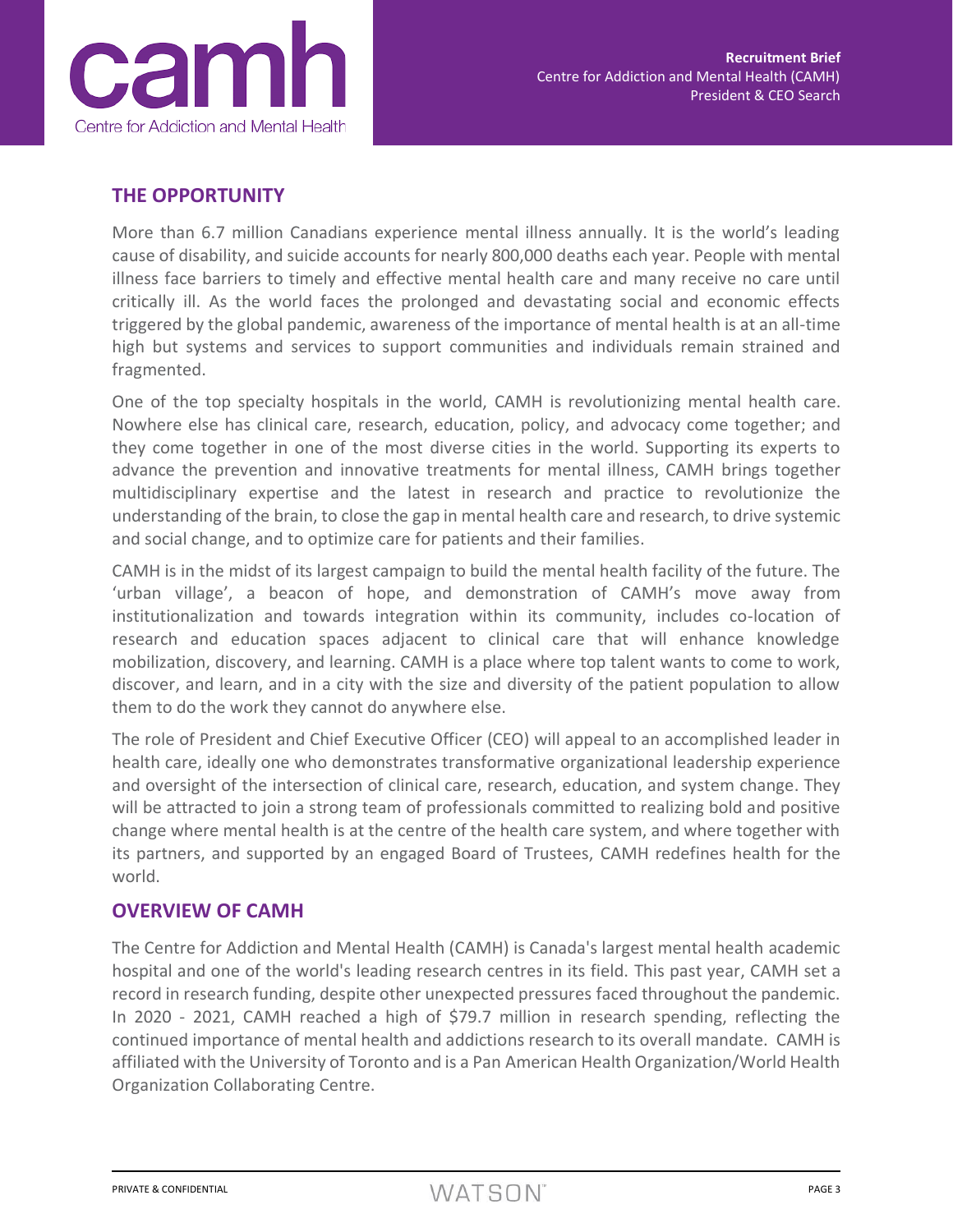

## **THE OPPORTUNITY**

More than 6.7 million Canadians experience mental illness annually. It is the world's leading cause of disability, and suicide accounts for nearly 800,000 deaths each year. People with mental illness face barriers to timely and effective mental health care and many receive no care until critically ill. As the world faces the prolonged and devastating social and economic effects triggered by the global pandemic, awareness of the importance of mental health is at an all-time high but systems and services to support communities and individuals remain strained and fragmented.

One of the top specialty hospitals in the world, CAMH is revolutionizing mental health care. Nowhere else has clinical care, research, education, policy, and advocacy come together; and they come together in one of the most diverse cities in the world. Supporting its experts to advance the prevention and innovative treatments for mental illness, CAMH brings together multidisciplinary expertise and the latest in research and practice to revolutionize the understanding of the brain, to close the gap in mental health care and research, to drive systemic and social change, and to optimize care for patients and their families.

CAMH is in the midst of its largest campaign to build the mental health facility of the future. The 'urban village', a beacon of hope, and demonstration of CAMH's move away from institutionalization and towards integration within its community, includes co-location of research and education spaces adjacent to clinical care that will enhance knowledge mobilization, discovery, and learning. CAMH is a place where top talent wants to come to work, discover, and learn, and in a city with the size and diversity of the patient population to allow them to do the work they cannot do anywhere else.

The role of President and Chief Executive Officer (CEO) will appeal to an accomplished leader in health care, ideally one who demonstrates transformative organizational leadership experience and oversight of the intersection of clinical care, research, education, and system change. They will be attracted to join a strong team of professionals committed to realizing bold and positive change where mental health is at the centre of the health care system, and where together with its partners, and supported by an engaged Board of Trustees, CAMH redefines health for the world.

## **OVERVIEW OF CAMH**

The Centre for Addiction and Mental Health (CAMH) is Canada's largest mental health academic hospital and one of the world's leading research centres in its field. This past year, CAMH set a record in research funding, despite other unexpected pressures faced throughout the pandemic. In 2020 - 2021, CAMH reached a high of \$79.7 million in research spending, reflecting the continued importance of mental health and addictions research to its overall mandate. CAMH is affiliated with the University of Toronto and is a Pan American Health Organization/World Health Organization Collaborating Centre.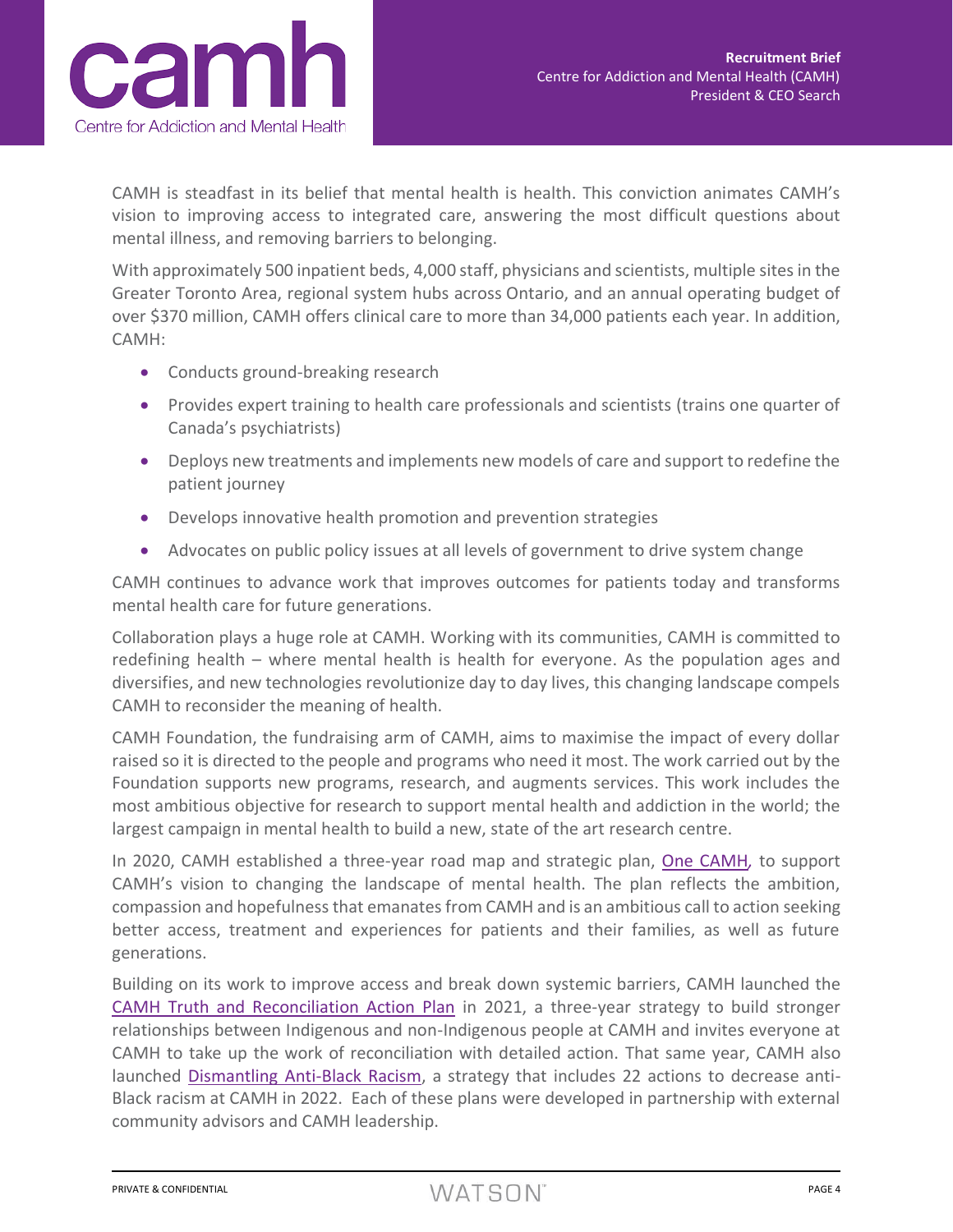

CAMH is steadfast in its belief that mental health is health. This conviction animates CAMH's vision to improving access to integrated care, answering the most difficult questions about mental illness, and removing barriers to belonging.

With approximately 500 inpatient beds, 4,000 staff, physicians and scientists, multiple sites in the Greater Toronto Area, regional system hubs across Ontario, and an annual operating budget of over \$370 million, CAMH offers clinical care to more than 34,000 patients each year. In addition, CAMH:

- Conducts ground-breaking research
- Provides expert training to health care professionals and scientists (trains one quarter of Canada's psychiatrists)
- Deploys new treatments and implements new models of care and support to redefine the patient journey
- Develops innovative health promotion and prevention strategies
- Advocates on public policy issues at all levels of government to drive system change

CAMH continues to advance work that improves outcomes for patients today and transforms mental health care for future generations.

Collaboration plays a huge role at CAMH. Working with its communities, CAMH is committed to redefining health – where mental health is health for everyone. As the population ages and diversifies, and new technologies revolutionize day to day lives, this changing landscape compels CAMH to reconsider the meaning of health.

CAMH Foundation, the fundraising arm of CAMH, aims to maximise the impact of every dollar raised so it is directed to the people and programs who need it most. The work carried out by the Foundation supports new programs, research, and augments services. This work includes the most ambitious objective for research to support mental health and addiction in the world; the largest campaign in mental health to build a new, state of the art research centre.

In 2020, CAMH established a three-year road map and strategic plan, [One CAMH](https://www.camh.ca/en/driving-change/about-camh/one-camh-strategic-plan-2020-2023)*,* to support CAMH's vision to changing the landscape of mental health. The plan reflects the ambition, compassion and hopefulness that emanates from CAMH and is an ambitious call to action seeking better access, treatment and experiences for patients and their families, as well as future generations.

Building on its work to improve access and break down systemic barriers, CAMH launched the [CAMH Truth and Reconciliation Action Plan](https://www.camh.ca/-/media/files/truthandreconciliationactionplan-may2021-pdf.pdf) in 2021, a three-year strategy to build stronger relationships between Indigenous and non-Indigenous people at CAMH and invites everyone at CAMH to take up the work of reconciliation with detailed action. That same year, CAMH also launched [Dismantling Anti-Black Racism,](https://www.camh.ca/-/media/files/camh-dismantling-anti-black-racism-pdf.pdf) a strategy that includes 22 actions to decrease anti-Black racism at CAMH in 2022. Each of these plans were developed in partnership with external community advisors and CAMH leadership.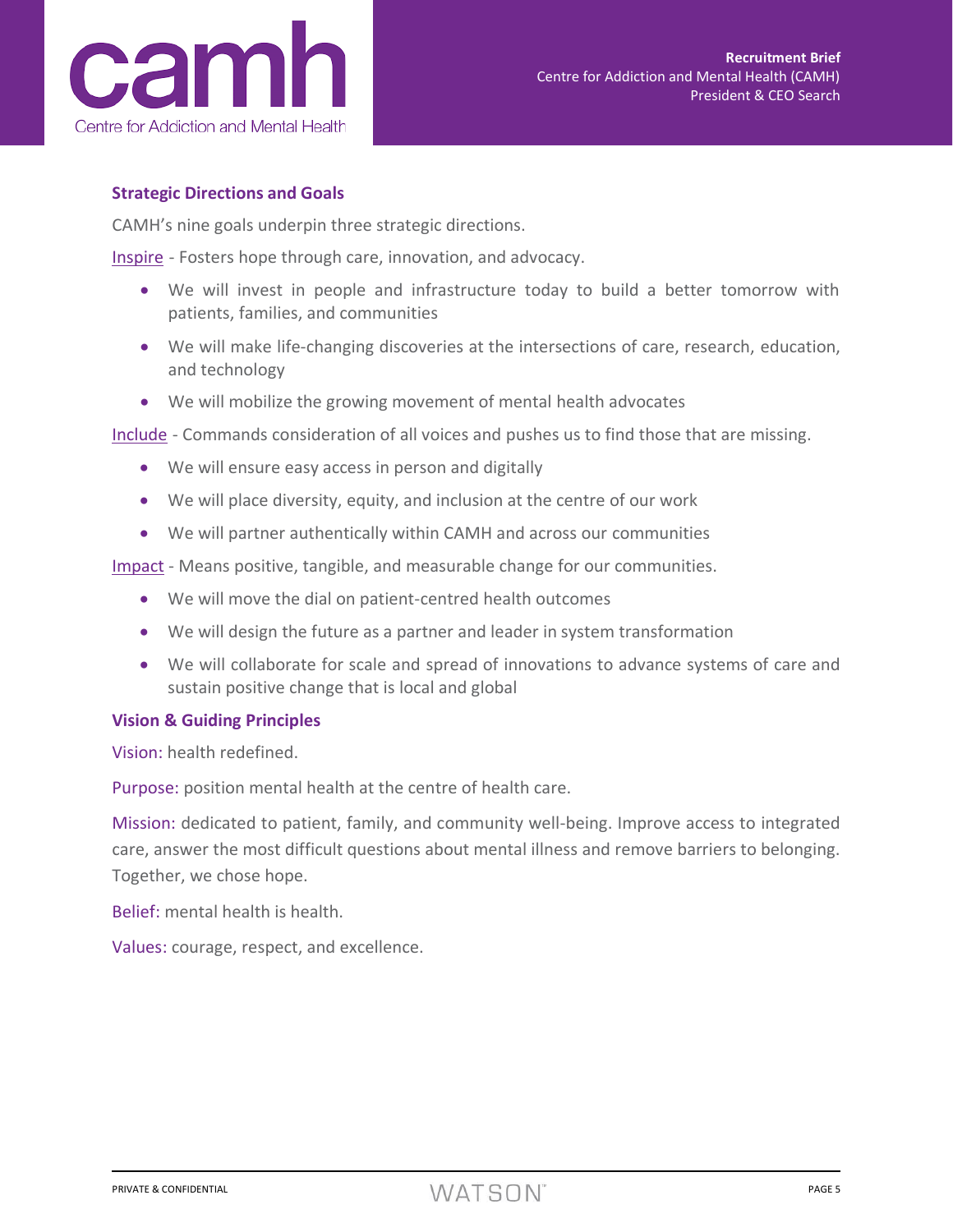

#### **Strategic Directions and Goals**

CAMH's nine goals underpin three strategic directions.

Inspire - Fosters hope through care, innovation, and advocacy.

- We will invest in people and infrastructure today to build a better tomorrow with patients, families, and communities
- We will make life-changing discoveries at the intersections of care, research, education, and technology
- We will mobilize the growing movement of mental health advocates

Include - Commands consideration of all voices and pushes us to find those that are missing.

- We will ensure easy access in person and digitally
- We will place diversity, equity, and inclusion at the centre of our work
- We will partner authentically within CAMH and across our communities

Impact - Means positive, tangible, and measurable change for our communities.

- We will move the dial on patient-centred health outcomes
- We will design the future as a partner and leader in system transformation
- We will collaborate for scale and spread of innovations to advance systems of care and sustain positive change that is local and global

#### **Vision & Guiding Principles**

Vision: health redefined.

Purpose: position mental health at the centre of health care.

Mission: dedicated to patient, family, and community well-being. Improve access to integrated care, answer the most difficult questions about mental illness and remove barriers to belonging. Together, we chose hope.

Belief: mental health is health.

Values: courage, respect, and excellence.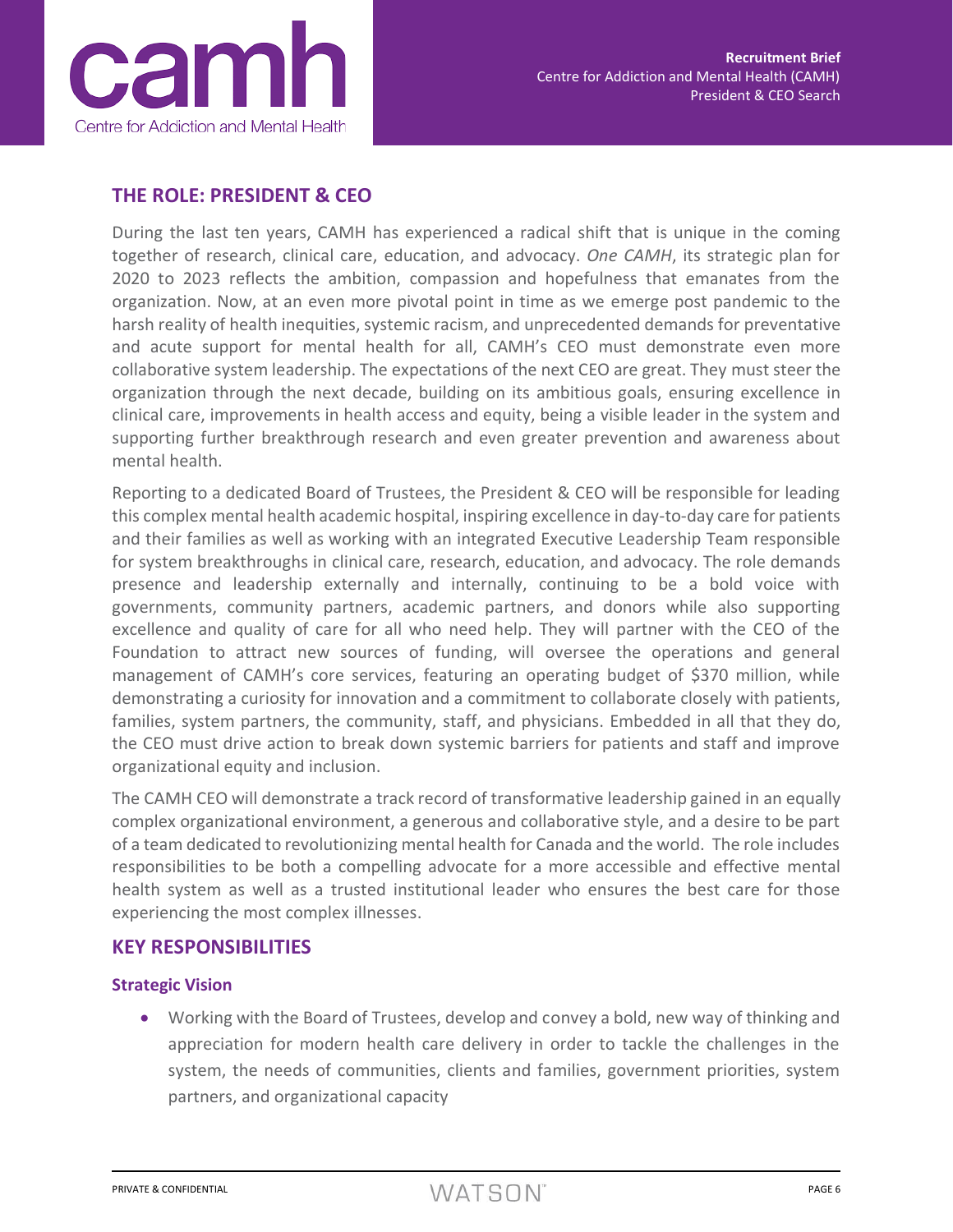

## **THE ROLE: PRESIDENT & CEO**

During the last ten years, CAMH has experienced a radical shift that is unique in the coming together of research, clinical care, education, and advocacy. *One CAMH*, its strategic plan for 2020 to 2023 reflects the ambition, compassion and hopefulness that emanates from the organization. Now, at an even more pivotal point in time as we emerge post pandemic to the harsh reality of health inequities, systemic racism, and unprecedented demands for preventative and acute support for mental health for all, CAMH's CEO must demonstrate even more collaborative system leadership. The expectations of the next CEO are great. They must steer the organization through the next decade, building on its ambitious goals, ensuring excellence in clinical care, improvements in health access and equity, being a visible leader in the system and supporting further breakthrough research and even greater prevention and awareness about mental health.

Reporting to a dedicated Board of Trustees, the President & CEO will be responsible for leading this complex mental health academic hospital, inspiring excellence in day-to-day care for patients and their families as well as working with an integrated Executive Leadership Team responsible for system breakthroughs in clinical care, research, education, and advocacy. The role demands presence and leadership externally and internally, continuing to be a bold voice with governments, community partners, academic partners, and donors while also supporting excellence and quality of care for all who need help. They will partner with the CEO of the Foundation to attract new sources of funding, will oversee the operations and general management of CAMH's core services, featuring an operating budget of \$370 million, while demonstrating a curiosity for innovation and a commitment to collaborate closely with patients, families, system partners, the community, staff, and physicians. Embedded in all that they do, the CEO must drive action to break down systemic barriers for patients and staff and improve organizational equity and inclusion.

The CAMH CEO will demonstrate a track record of transformative leadership gained in an equally complex organizational environment, a generous and collaborative style, and a desire to be part of a team dedicated to revolutionizing mental health for Canada and the world. The role includes responsibilities to be both a compelling advocate for a more accessible and effective mental health system as well as a trusted institutional leader who ensures the best care for those experiencing the most complex illnesses.

#### **KEY RESPONSIBILITIES**

#### **Strategic Vision**

• Working with the Board of Trustees, develop and convey a bold, new way of thinking and appreciation for modern health care delivery in order to tackle the challenges in the system, the needs of communities, clients and families, government priorities, system partners, and organizational capacity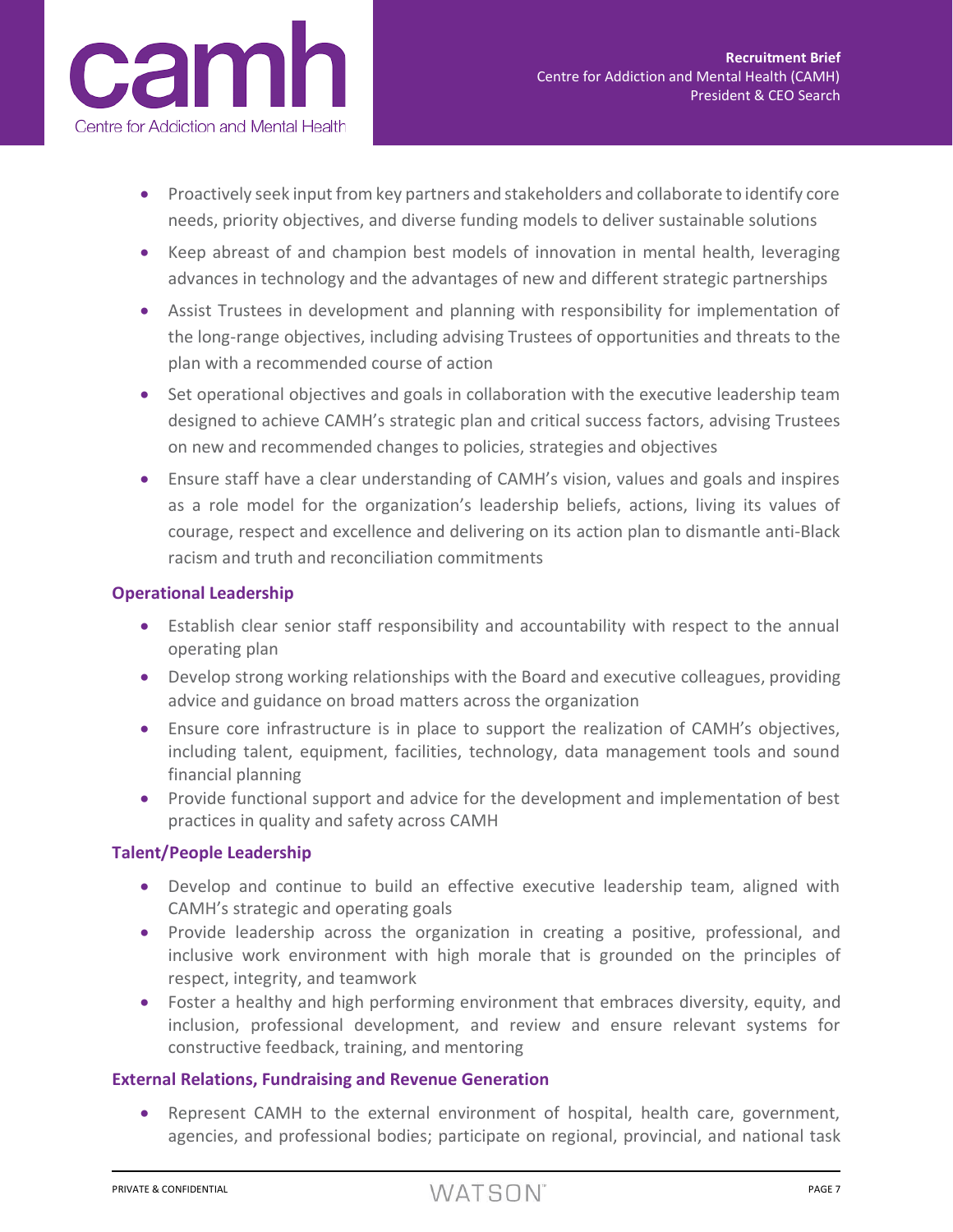

- Proactively seek input from key partners and stakeholders and collaborate to identify core needs, priority objectives, and diverse funding models to deliver sustainable solutions
- Keep abreast of and champion best models of innovation in mental health, leveraging advances in technology and the advantages of new and different strategic partnerships
- Assist Trustees in development and planning with responsibility for implementation of the long-range objectives, including advising Trustees of opportunities and threats to the plan with a recommended course of action
- Set operational objectives and goals in collaboration with the executive leadership team designed to achieve CAMH's strategic plan and critical success factors, advising Trustees on new and recommended changes to policies, strategies and objectives
- Ensure staff have a clear understanding of CAMH's vision, values and goals and inspires as a role model for the organization's leadership beliefs, actions, living its values of courage, respect and excellence and delivering on its action plan to dismantle anti-Black racism and truth and reconciliation commitments

#### **Operational Leadership**

- Establish clear senior staff responsibility and accountability with respect to the annual operating plan
- Develop strong working relationships with the Board and executive colleagues, providing advice and guidance on broad matters across the organization
- Ensure core infrastructure is in place to support the realization of CAMH's objectives, including talent, equipment, facilities, technology, data management tools and sound financial planning
- Provide functional support and advice for the development and implementation of best practices in quality and safety across CAMH

#### **Talent/People Leadership**

- Develop and continue to build an effective executive leadership team, aligned with CAMH's strategic and operating goals
- Provide leadership across the organization in creating a positive, professional, and inclusive work environment with high morale that is grounded on the principles of respect, integrity, and teamwork
- Foster a healthy and high performing environment that embraces diversity, equity, and inclusion, professional development, and review and ensure relevant systems for constructive feedback, training, and mentoring

#### **External Relations, Fundraising and Revenue Generation**

• Represent CAMH to the external environment of hospital, health care, government, agencies, and professional bodies; participate on regional, provincial, and national task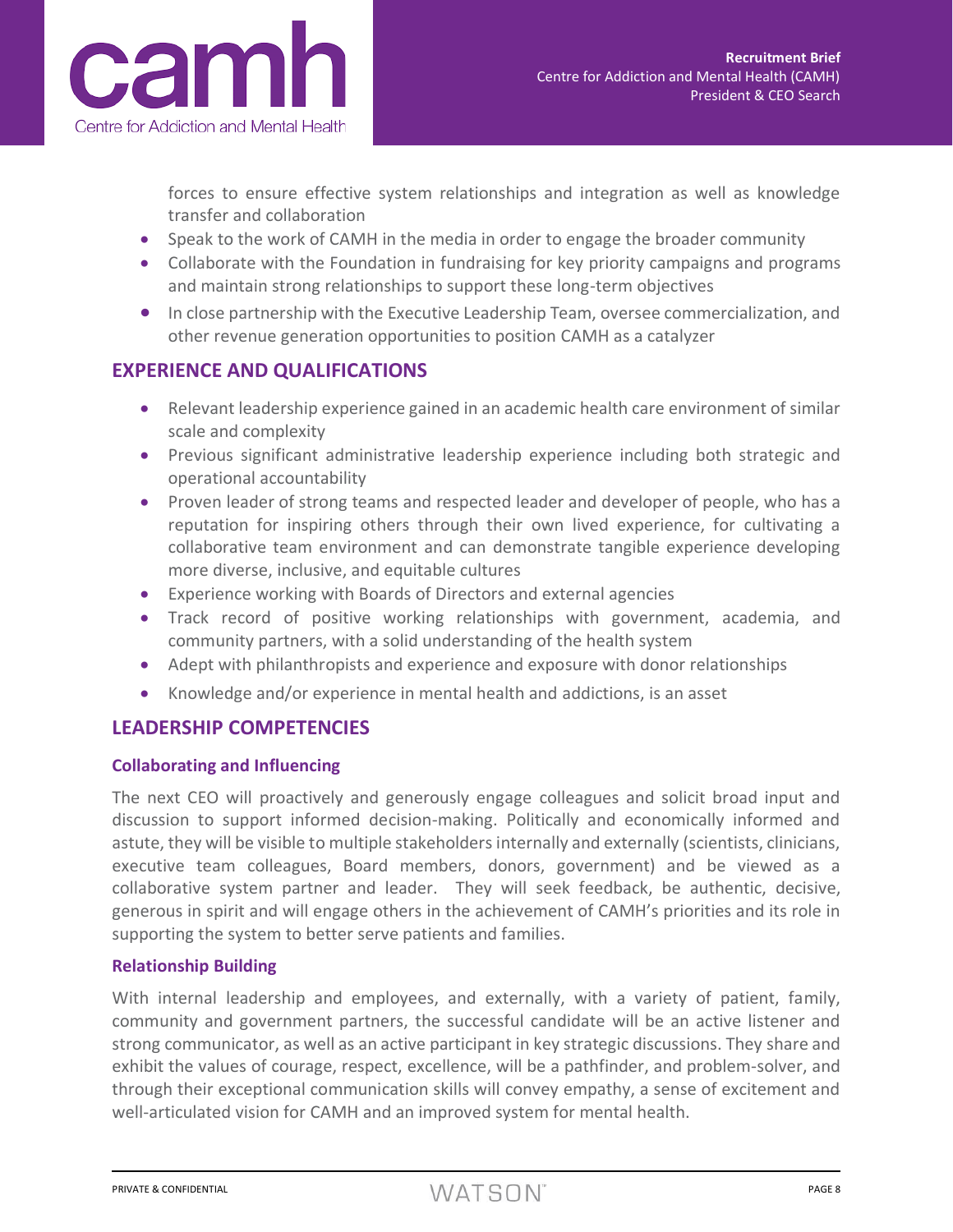

forces to ensure effective system relationships and integration as well as knowledge transfer and collaboration

- Speak to the work of CAMH in the media in order to engage the broader community
- Collaborate with the Foundation in fundraising for key priority campaigns and programs and maintain strong relationships to support these long-term objectives
- In close partnership with the Executive Leadership Team, oversee commercialization, and other revenue generation opportunities to position CAMH as a catalyzer

## **EXPERIENCE AND QUALIFICATIONS**

- Relevant leadership experience gained in an academic health care environment of similar scale and complexity
- Previous significant administrative leadership experience including both strategic and operational accountability
- Proven leader of strong teams and respected leader and developer of people, who has a reputation for inspiring others through their own lived experience, for cultivating a collaborative team environment and can demonstrate tangible experience developing more diverse, inclusive, and equitable cultures
- Experience working with Boards of Directors and external agencies
- Track record of positive working relationships with government, academia, and community partners, with a solid understanding of the health system
- Adept with philanthropists and experience and exposure with donor relationships
- Knowledge and/or experience in mental health and addictions, is an asset

## **LEADERSHIP COMPETENCIES**

#### **Collaborating and Influencing**

The next CEO will proactively and generously engage colleagues and solicit broad input and discussion to support informed decision-making. Politically and economically informed and astute, they will be visible to multiple stakeholders internally and externally (scientists, clinicians, executive team colleagues, Board members, donors, government) and be viewed as a collaborative system partner and leader. They will seek feedback, be authentic, decisive, generous in spirit and will engage others in the achievement of CAMH's priorities and its role in supporting the system to better serve patients and families.

#### **Relationship Building**

With internal leadership and employees, and externally, with a variety of patient, family, community and government partners, the successful candidate will be an active listener and strong communicator, as well as an active participant in key strategic discussions. They share and exhibit the values of courage, respect, excellence, will be a pathfinder, and problem-solver, and through their exceptional communication skills will convey empathy, a sense of excitement and well-articulated vision for CAMH and an improved system for mental health.